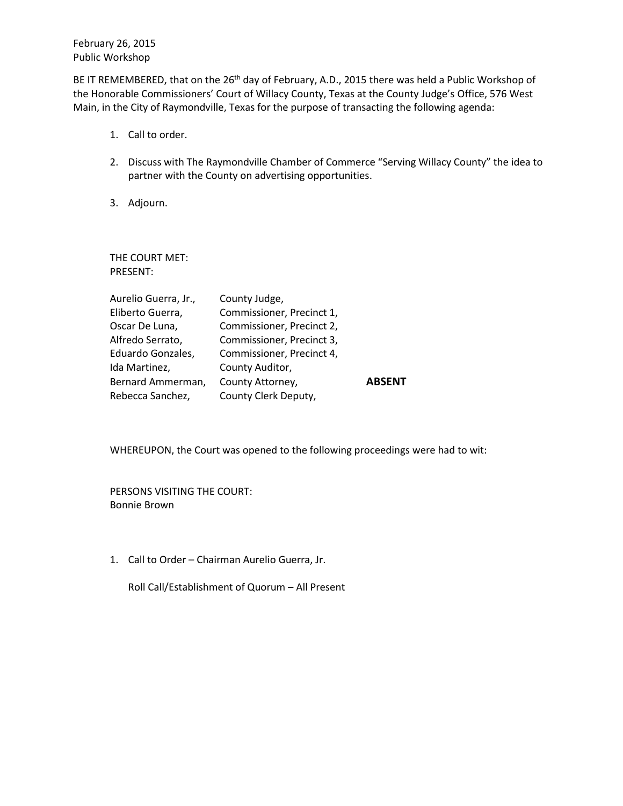February 26, 2015 Public Workshop

BE IT REMEMBERED, that on the 26<sup>th</sup> day of February, A.D., 2015 there was held a Public Workshop of the Honorable Commissioners' Court of Willacy County, Texas at the County Judge's Office, 576 West Main, in the City of Raymondville, Texas for the purpose of transacting the following agenda:

- 1. Call to order.
- 2. Discuss with The Raymondville Chamber of Commerce "Serving Willacy County" the idea to partner with the County on advertising opportunities.
- 3. Adjourn.

THE COURT MET: PRESENT:

| County Judge,             |               |
|---------------------------|---------------|
| Commissioner, Precinct 1, |               |
| Commissioner, Precinct 2, |               |
| Commissioner, Precinct 3, |               |
| Commissioner, Precinct 4, |               |
| County Auditor,           |               |
| County Attorney,          | <b>ABSENT</b> |
| County Clerk Deputy,      |               |
|                           |               |

WHEREUPON, the Court was opened to the following proceedings were had to wit:

PERSONS VISITING THE COURT: Bonnie Brown

1. Call to Order – Chairman Aurelio Guerra, Jr.

Roll Call/Establishment of Quorum – All Present